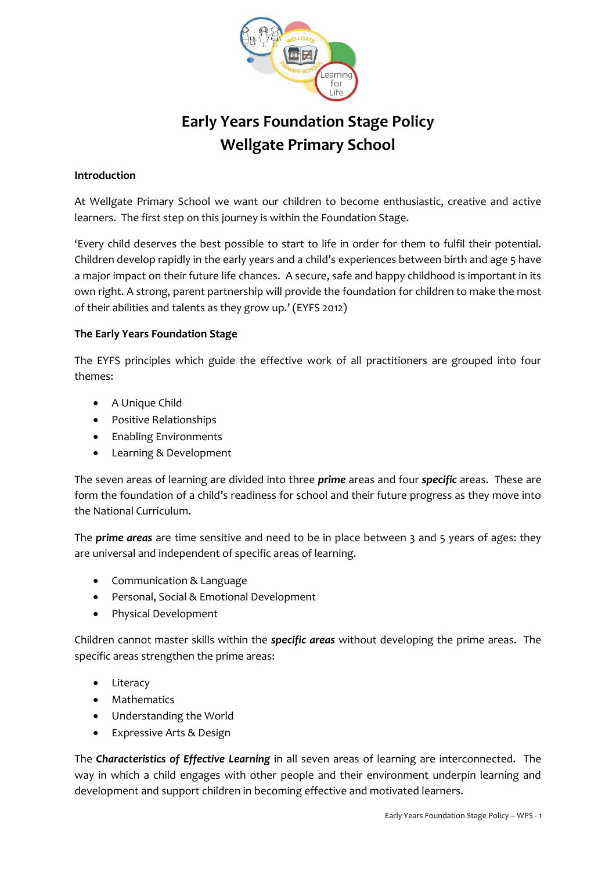

# **Early Years Foundation Stage Policy Wellgate Primary School**

## **Introduction**

At Wellgate Primary School we want our children to become enthusiastic, creative and active learners. The first step on this journey is within the Foundation Stage.

'Every child deserves the best possible to start to life in order for them to fulfil their potential. Children develop rapidly in the early years and a child's experiences between birth and age 5 have a major impact on their future life chances. A secure, safe and happy childhood is important in its own right. A strong, parent partnership will provide the foundation for children to make the most of their abilities and talents as they grow up.' (EYFS 2012)

#### **The Early Years Foundation Stage**

The EYFS principles which guide the effective work of all practitioners are grouped into four themes:

- A Unique Child
- Positive Relationships
- Enabling Environments
- Learning & Development

The seven areas of learning are divided into three *prime* areas and four *specific* areas. These are form the foundation of a child's readiness for school and their future progress as they move into the National Curriculum.

The *prime areas* are time sensitive and need to be in place between 3 and 5 years of ages: they are universal and independent of specific areas of learning.

- Communication & Language
- Personal, Social & Emotional Development
- Physical Development

Children cannot master skills within the *specific areas* without developing the prime areas. The specific areas strengthen the prime areas:

- Literacy
- Mathematics
- Understanding the World
- Expressive Arts & Design

The *Characteristics of Effective Learning* in all seven areas of learning are interconnected. The way in which a child engages with other people and their environment underpin learning and development and support children in becoming effective and motivated learners.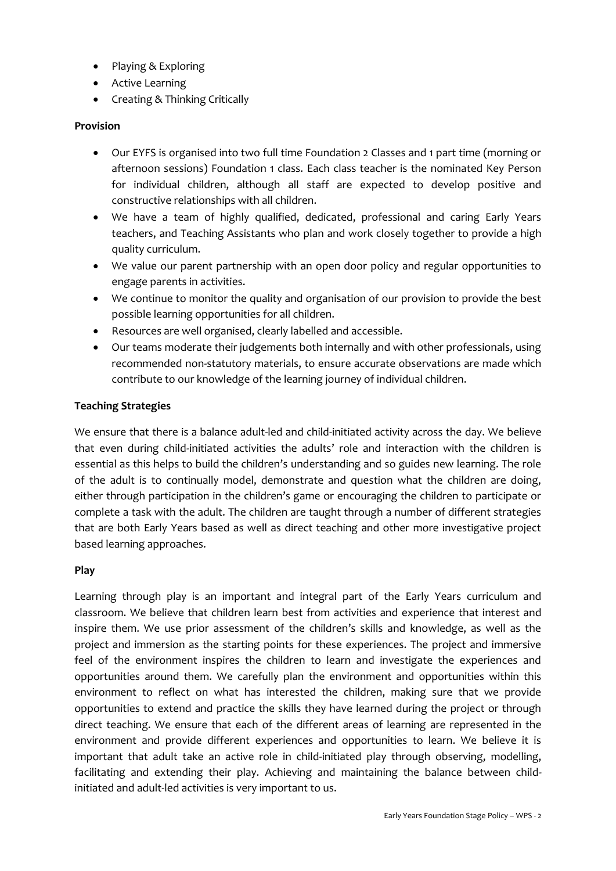- Playing & Exploring
- Active Learning
- Creating & Thinking Critically

#### **Provision**

- Our EYFS is organised into two full time Foundation 2 Classes and 1 part time (morning or afternoon sessions) Foundation 1 class. Each class teacher is the nominated Key Person for individual children, although all staff are expected to develop positive and constructive relationships with all children.
- We have a team of highly qualified, dedicated, professional and caring Early Years teachers, and Teaching Assistants who plan and work closely together to provide a high quality curriculum.
- We value our parent partnership with an open door policy and regular opportunities to engage parents in activities.
- We continue to monitor the quality and organisation of our provision to provide the best possible learning opportunities for all children.
- Resources are well organised, clearly labelled and accessible.
- Our teams moderate their judgements both internally and with other professionals, using recommended non-statutory materials, to ensure accurate observations are made which contribute to our knowledge of the learning journey of individual children.

#### **Teaching Strategies**

We ensure that there is a balance adult-led and child-initiated activity across the day. We believe that even during child-initiated activities the adults' role and interaction with the children is essential as this helps to build the children's understanding and so guides new learning. The role of the adult is to continually model, demonstrate and question what the children are doing, either through participation in the children's game or encouraging the children to participate or complete a task with the adult. The children are taught through a number of different strategies that are both Early Years based as well as direct teaching and other more investigative project based learning approaches.

#### **Play**

Learning through play is an important and integral part of the Early Years curriculum and classroom. We believe that children learn best from activities and experience that interest and inspire them. We use prior assessment of the children's skills and knowledge, as well as the project and immersion as the starting points for these experiences. The project and immersive feel of the environment inspires the children to learn and investigate the experiences and opportunities around them. We carefully plan the environment and opportunities within this environment to reflect on what has interested the children, making sure that we provide opportunities to extend and practice the skills they have learned during the project or through direct teaching. We ensure that each of the different areas of learning are represented in the environment and provide different experiences and opportunities to learn. We believe it is important that adult take an active role in child-initiated play through observing, modelling, facilitating and extending their play. Achieving and maintaining the balance between childinitiated and adult-led activities is very important to us.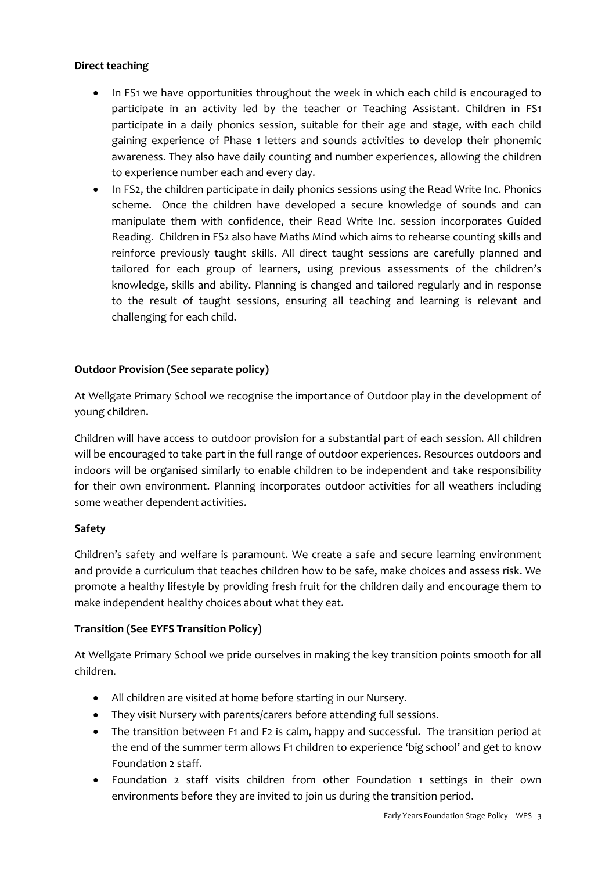## **Direct teaching**

- In FS1 we have opportunities throughout the week in which each child is encouraged to participate in an activity led by the teacher or Teaching Assistant. Children in FS1 participate in a daily phonics session, suitable for their age and stage, with each child gaining experience of Phase 1 letters and sounds activities to develop their phonemic awareness. They also have daily counting and number experiences, allowing the children to experience number each and every day.
- In FS2, the children participate in daily phonics sessions using the Read Write Inc. Phonics scheme. Once the children have developed a secure knowledge of sounds and can manipulate them with confidence, their Read Write Inc. session incorporates Guided Reading. Children in FS2 also have Maths Mind which aims to rehearse counting skills and reinforce previously taught skills. All direct taught sessions are carefully planned and tailored for each group of learners, using previous assessments of the children's knowledge, skills and ability. Planning is changed and tailored regularly and in response to the result of taught sessions, ensuring all teaching and learning is relevant and challenging for each child.

# **Outdoor Provision (See separate policy)**

At Wellgate Primary School we recognise the importance of Outdoor play in the development of young children.

Children will have access to outdoor provision for a substantial part of each session. All children will be encouraged to take part in the full range of outdoor experiences. Resources outdoors and indoors will be organised similarly to enable children to be independent and take responsibility for their own environment. Planning incorporates outdoor activities for all weathers including some weather dependent activities.

## **Safety**

Children's safety and welfare is paramount. We create a safe and secure learning environment and provide a curriculum that teaches children how to be safe, make choices and assess risk. We promote a healthy lifestyle by providing fresh fruit for the children daily and encourage them to make independent healthy choices about what they eat.

# **Transition (See EYFS Transition Policy)**

At Wellgate Primary School we pride ourselves in making the key transition points smooth for all children.

- All children are visited at home before starting in our Nursery.
- They visit Nursery with parents/carers before attending full sessions.
- The transition between F1 and F2 is calm, happy and successful. The transition period at the end of the summer term allows F1 children to experience 'big school' and get to know Foundation 2 staff.
- Foundation 2 staff visits children from other Foundation 1 settings in their own environments before they are invited to join us during the transition period.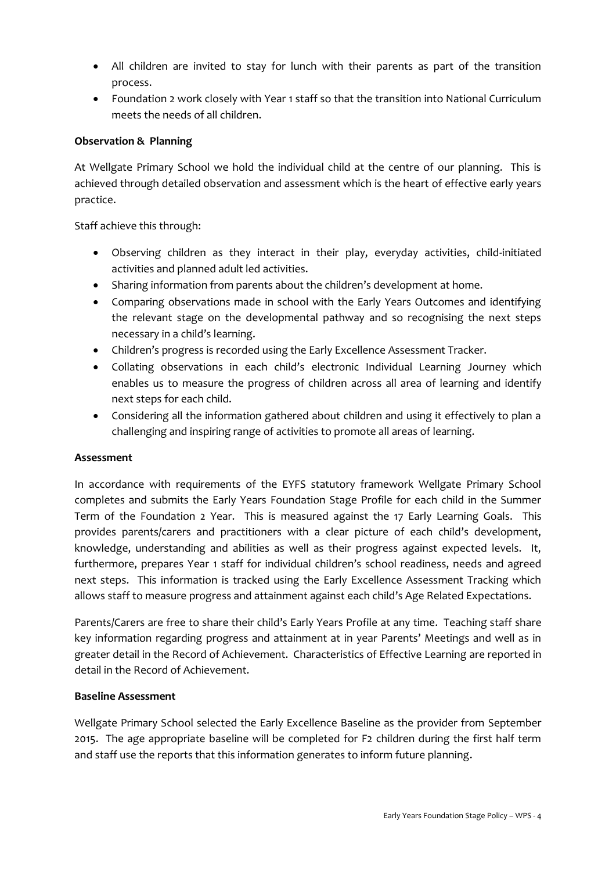- All children are invited to stay for lunch with their parents as part of the transition process.
- Foundation 2 work closely with Year 1 staff so that the transition into National Curriculum meets the needs of all children.

## **Observation & Planning**

At Wellgate Primary School we hold the individual child at the centre of our planning. This is achieved through detailed observation and assessment which is the heart of effective early years practice.

Staff achieve this through:

- Observing children as they interact in their play, everyday activities, child-initiated activities and planned adult led activities.
- Sharing information from parents about the children's development at home.
- Comparing observations made in school with the Early Years Outcomes and identifying the relevant stage on the developmental pathway and so recognising the next steps necessary in a child's learning.
- Children's progress is recorded using the Early Excellence Assessment Tracker.
- Collating observations in each child's electronic Individual Learning Journey which enables us to measure the progress of children across all area of learning and identify next steps for each child.
- Considering all the information gathered about children and using it effectively to plan a challenging and inspiring range of activities to promote all areas of learning.

## **Assessment**

In accordance with requirements of the EYFS statutory framework Wellgate Primary School completes and submits the Early Years Foundation Stage Profile for each child in the Summer Term of the Foundation 2 Year. This is measured against the 17 Early Learning Goals. This provides parents/carers and practitioners with a clear picture of each child's development, knowledge, understanding and abilities as well as their progress against expected levels. It, furthermore, prepares Year 1 staff for individual children's school readiness, needs and agreed next steps. This information is tracked using the Early Excellence Assessment Tracking which allows staff to measure progress and attainment against each child's Age Related Expectations.

Parents/Carers are free to share their child's Early Years Profile at any time. Teaching staff share key information regarding progress and attainment at in year Parents' Meetings and well as in greater detail in the Record of Achievement. Characteristics of Effective Learning are reported in detail in the Record of Achievement.

## **Baseline Assessment**

Wellgate Primary School selected the Early Excellence Baseline as the provider from September 2015. The age appropriate baseline will be completed for F2 children during the first half term and staff use the reports that this information generates to inform future planning.